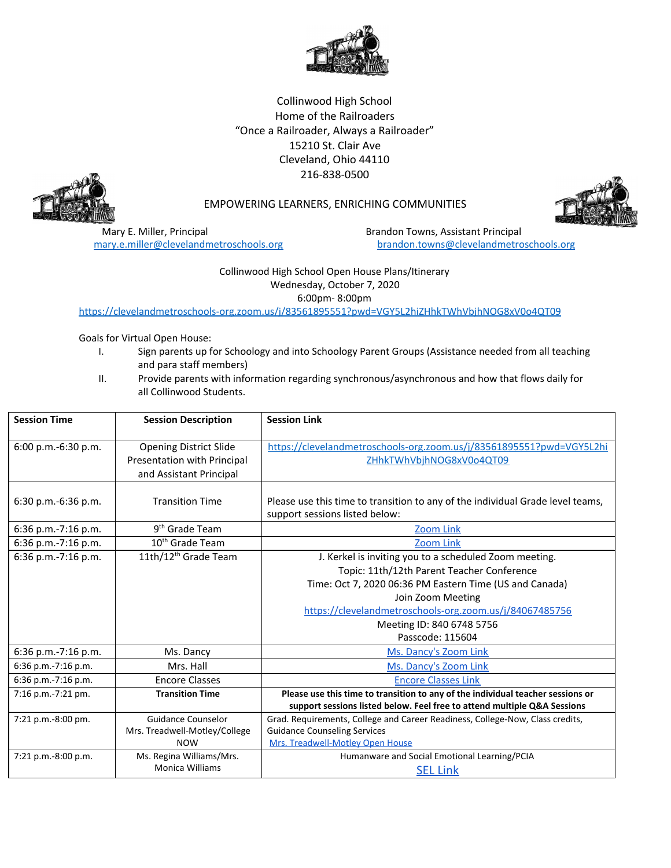

Collinwood High School Home of the Railroaders "Once a Railroader, Always a Railroader" 15210 St. Clair Ave Cleveland, Ohio 44110 216-838-0500



## EMPOWERING LEARNERS, ENRICHING COMMUNITIES

Mary E. Miller, Principal **Brandon Towns, Assistant Principal** Brandon Towns, Assistant Principal

[mary.e.miller@clevelandmetroschools.org](mailto:mary.e.miller@clevelandmetroschools.org) [brandon.towns@clevelandmetroschools.org](mailto:brandon.towns@clevelandmetroschools.org)

## Collinwood High School Open House Plans/Itinerary Wednesday, October 7, 2020 6:00pm- 8:00pm

<https://clevelandmetroschools-org.zoom.us/j/83561895551?pwd=VGY5L2hiZHhkTWhVbjhNOG8xV0o4QT09>

Goals for Virtual Open House:

- I. Sign parents up for Schoology and into Schoology Parent Groups (Assistance needed from all teaching and para staff members)
- II. Provide parents with information regarding synchronous/asynchronous and how that flows daily for all Collinwood Students.

| <b>Session Time</b> | <b>Session Description</b>       | <b>Session Link</b>                                                             |
|---------------------|----------------------------------|---------------------------------------------------------------------------------|
| 6:00 p.m.-6:30 p.m. | <b>Opening District Slide</b>    | https://clevelandmetroschools-org.zoom.us/j/83561895551?pwd=VGY5L2hi            |
|                     |                                  |                                                                                 |
|                     | Presentation with Principal      | ZHhkTWhVbjhNOG8xV0o4QT09                                                        |
|                     | and Assistant Principal          |                                                                                 |
| 6:30 p.m.-6:36 p.m. | <b>Transition Time</b>           | Please use this time to transition to any of the individual Grade level teams,  |
|                     |                                  | support sessions listed below:                                                  |
|                     |                                  |                                                                                 |
| 6:36 p.m.-7:16 p.m. | 9 <sup>th</sup> Grade Team       | <b>Zoom Link</b>                                                                |
| 6:36 p.m.-7:16 p.m. | $10th$ Grade Team                | <b>Zoom Link</b>                                                                |
| 6:36 p.m.-7:16 p.m. | 11th/12 <sup>th</sup> Grade Team | J. Kerkel is inviting you to a scheduled Zoom meeting.                          |
|                     |                                  | Topic: 11th/12th Parent Teacher Conference                                      |
|                     |                                  | Time: Oct 7, 2020 06:36 PM Eastern Time (US and Canada)                         |
|                     |                                  | Join Zoom Meeting                                                               |
|                     |                                  | https://clevelandmetroschools-org.zoom.us/j/84067485756                         |
|                     |                                  | Meeting ID: 840 6748 5756                                                       |
|                     |                                  | Passcode: 115604                                                                |
| 6:36 p.m.-7:16 p.m. | Ms. Dancy                        | Ms. Dancy's Zoom Link                                                           |
| 6:36 p.m.-7:16 p.m. | Mrs. Hall                        | Ms. Dancy's Zoom Link                                                           |
| 6:36 p.m.-7:16 p.m. | <b>Encore Classes</b>            | <b>Encore Classes Link</b>                                                      |
| 7:16 p.m.-7:21 pm.  | <b>Transition Time</b>           | Please use this time to transition to any of the individual teacher sessions or |
|                     |                                  | support sessions listed below. Feel free to attend multiple Q&A Sessions        |
| 7:21 p.m.-8:00 pm.  | <b>Guidance Counselor</b>        | Grad. Requirements, College and Career Readiness, College-Now, Class credits,   |
|                     | Mrs. Treadwell-Motley/College    | <b>Guidance Counseling Services</b>                                             |
|                     | <b>NOW</b>                       | Mrs. Treadwell-Motley Open House                                                |
| 7:21 p.m.-8:00 p.m. | Ms. Regina Williams/Mrs.         | Humanware and Social Emotional Learning/PCIA                                    |
|                     | <b>Monica Williams</b>           | <b>SEL Link</b>                                                                 |